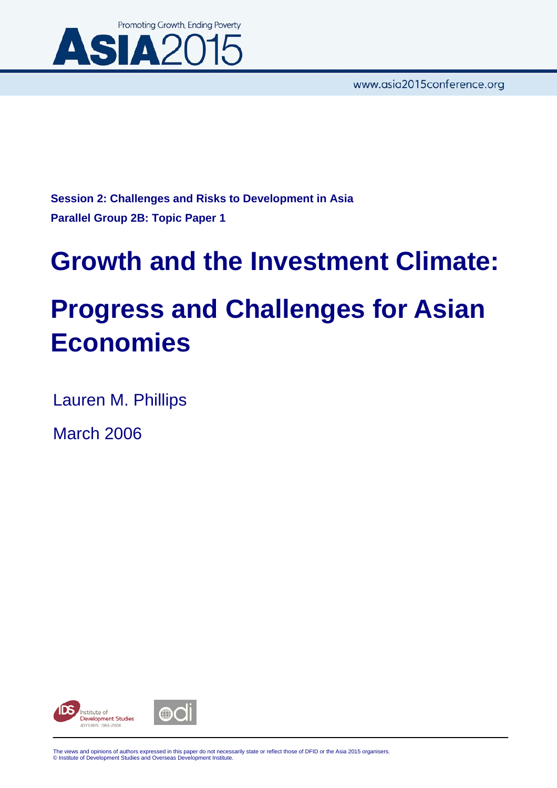

www.asia2015conference.org

**Session 2: Challenges and Risks to Development in Asia Parallel Group 2B: Topic Paper 1** 

# **Growth and the Investment Climate:**

# **Progress and Challenges for Asian Economies**

Lauren M. Phillips

March 2006





The views and opinions of authors expressed in this paper do not necessarily state or reflect those of DFID or the Asia 2015 organisers. © Institute of Development Studies and Overseas Development Institute.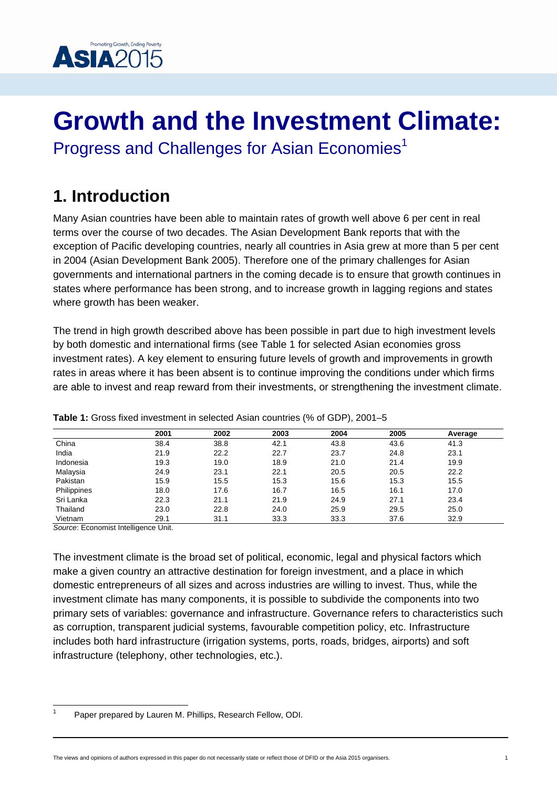

# **Growth and the Investment Climate:**

Progress and Challenges for Asian Economies<sup>1</sup>

# **1. Introduction**

Many Asian countries have been able to maintain rates of growth well above 6 per cent in real terms over the course of two decades. The Asian Development Bank reports that with the exception of Pacific developing countries, nearly all countries in Asia grew at more than 5 per cent in 2004 (Asian Development Bank 2005). Therefore one of the primary challenges for Asian governments and international partners in the coming decade is to ensure that growth continues in states where performance has been strong, and to increase growth in lagging regions and states where growth has been weaker.

The trend in high growth described above has been possible in part due to high investment levels by both domestic and international firms (see Table 1 for selected Asian economies gross investment rates). A key element to ensuring future levels of growth and improvements in growth rates in areas where it has been absent is to continue improving the conditions under which firms are able to invest and reap reward from their investments, or strengthening the investment climate.

|             | 2001 | 2002 | 2003 | 2004 | 2005 | Average |
|-------------|------|------|------|------|------|---------|
| China       | 38.4 | 38.8 | 42.1 | 43.8 | 43.6 | 41.3    |
| India       | 21.9 | 22.2 | 22.7 | 23.7 | 24.8 | 23.1    |
| Indonesia   | 19.3 | 19.0 | 18.9 | 21.0 | 21.4 | 19.9    |
| Malaysia    | 24.9 | 23.1 | 22.1 | 20.5 | 20.5 | 22.2    |
| Pakistan    | 15.9 | 15.5 | 15.3 | 15.6 | 15.3 | 15.5    |
| Philippines | 18.0 | 17.6 | 16.7 | 16.5 | 16.1 | 17.0    |
| Sri Lanka   | 22.3 | 21.1 | 21.9 | 24.9 | 27.1 | 23.4    |
| Thailand    | 23.0 | 22.8 | 24.0 | 25.9 | 29.5 | 25.0    |
| Vietnam     | 29.1 | 31.1 | 33.3 | 33.3 | 37.6 | 32.9    |

**Table 1:** Gross fixed investment in selected Asian countries (% of GDP), 2001–5

*Source*: Economist Intelligence Unit.

The investment climate is the broad set of political, economic, legal and physical factors which make a given country an attractive destination for foreign investment, and a place in which domestic entrepreneurs of all sizes and across industries are willing to invest. Thus, while the investment climate has many components, it is possible to subdivide the components into two primary sets of variables: governance and infrastructure. Governance refers to characteristics such as corruption, transparent judicial systems, favourable competition policy, etc. Infrastructure includes both hard infrastructure (irrigation systems, ports, roads, bridges, airports) and soft infrastructure (telephony, other technologies, etc.).

The views and opinions of authors expressed in this paper do not necessarily state or reflect those of DFID or the Asia 2015 organisers. 1

 $\frac{1}{1}$ Paper prepared by Lauren M. Phillips, Research Fellow, ODI.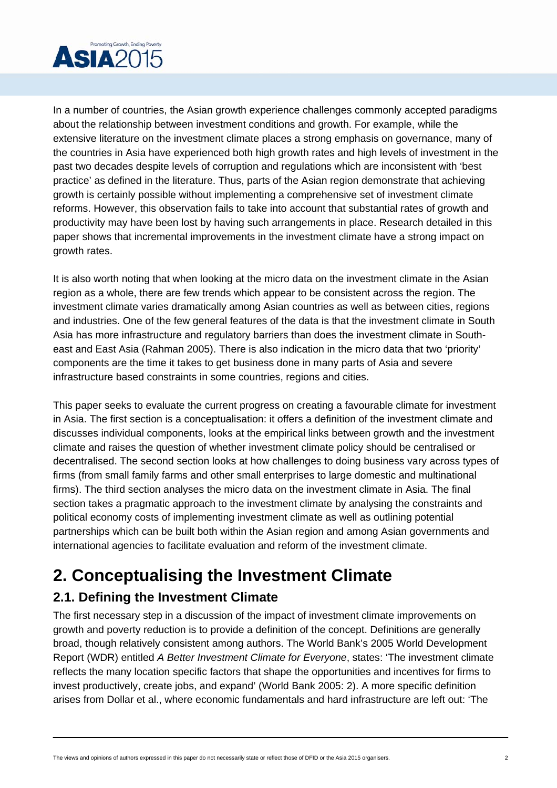

In a number of countries, the Asian growth experience challenges commonly accepted paradigms about the relationship between investment conditions and growth. For example, while the extensive literature on the investment climate places a strong emphasis on governance, many of the countries in Asia have experienced both high growth rates and high levels of investment in the past two decades despite levels of corruption and regulations which are inconsistent with 'best practice' as defined in the literature. Thus, parts of the Asian region demonstrate that achieving growth is certainly possible without implementing a comprehensive set of investment climate reforms. However, this observation fails to take into account that substantial rates of growth and productivity may have been lost by having such arrangements in place. Research detailed in this paper shows that incremental improvements in the investment climate have a strong impact on growth rates.

It is also worth noting that when looking at the micro data on the investment climate in the Asian region as a whole, there are few trends which appear to be consistent across the region. The investment climate varies dramatically among Asian countries as well as between cities, regions and industries. One of the few general features of the data is that the investment climate in South Asia has more infrastructure and regulatory barriers than does the investment climate in Southeast and East Asia (Rahman 2005). There is also indication in the micro data that two 'priority' components are the time it takes to get business done in many parts of Asia and severe infrastructure based constraints in some countries, regions and cities.

This paper seeks to evaluate the current progress on creating a favourable climate for investment in Asia. The first section is a conceptualisation: it offers a definition of the investment climate and discusses individual components, looks at the empirical links between growth and the investment climate and raises the question of whether investment climate policy should be centralised or decentralised. The second section looks at how challenges to doing business vary across types of firms (from small family farms and other small enterprises to large domestic and multinational firms). The third section analyses the micro data on the investment climate in Asia. The final section takes a pragmatic approach to the investment climate by analysing the constraints and political economy costs of implementing investment climate as well as outlining potential partnerships which can be built both within the Asian region and among Asian governments and international agencies to facilitate evaluation and reform of the investment climate.

# **2. Conceptualising the Investment Climate**

# **2.1. Defining the Investment Climate**

The first necessary step in a discussion of the impact of investment climate improvements on growth and poverty reduction is to provide a definition of the concept. Definitions are generally broad, though relatively consistent among authors. The World Bank's 2005 World Development Report (WDR) entitled *A Better Investment Climate for Everyone*, states: 'The investment climate reflects the many location specific factors that shape the opportunities and incentives for firms to invest productively, create jobs, and expand' (World Bank 2005: 2). A more specific definition arises from Dollar et al., where economic fundamentals and hard infrastructure are left out: 'The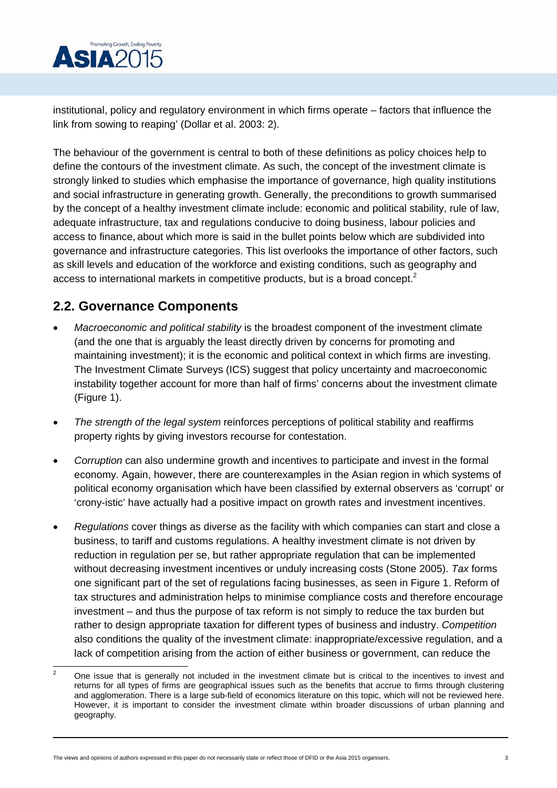

institutional, policy and regulatory environment in which firms operate – factors that influence the link from sowing to reaping' (Dollar et al. 2003: 2).

The behaviour of the government is central to both of these definitions as policy choices help to define the contours of the investment climate. As such, the concept of the investment climate is strongly linked to studies which emphasise the importance of governance, high quality institutions and social infrastructure in generating growth. Generally, the preconditions to growth summarised by the concept of a healthy investment climate include: economic and political stability, rule of law, adequate infrastructure, tax and regulations conducive to doing business, labour policies and access to finance, about which more is said in the bullet points below which are subdivided into governance and infrastructure categories. This list overlooks the importance of other factors, such as skill levels and education of the workforce and existing conditions, such as geography and access to international markets in competitive products, but is a broad concept.<sup>2</sup>

### **2.2. Governance Components**

- *Macroeconomic and political stability* is the broadest component of the investment climate (and the one that is arguably the least directly driven by concerns for promoting and maintaining investment); it is the economic and political context in which firms are investing. The Investment Climate Surveys (ICS) suggest that policy uncertainty and macroeconomic instability together account for more than half of firms' concerns about the investment climate (Figure 1).
- *The strength of the legal system* reinforces perceptions of political stability and reaffirms property rights by giving investors recourse for contestation.
- *Corruption* can also undermine growth and incentives to participate and invest in the formal economy. Again, however, there are counterexamples in the Asian region in which systems of political economy organisation which have been classified by external observers as 'corrupt' or 'crony-istic' have actually had a positive impact on growth rates and investment incentives.
- *Regulations* cover things as diverse as the facility with which companies can start and close a business, to tariff and customs regulations. A healthy investment climate is not driven by reduction in regulation per se, but rather appropriate regulation that can be implemented without decreasing investment incentives or unduly increasing costs (Stone 2005). *Tax* forms one significant part of the set of regulations facing businesses, as seen in Figure 1. Reform of tax structures and administration helps to minimise compliance costs and therefore encourage investment – and thus the purpose of tax reform is not simply to reduce the tax burden but rather to design appropriate taxation for different types of business and industry. *Competition* also conditions the quality of the investment climate: inappropriate/excessive regulation, and a lack of competition arising from the action of either business or government, can reduce the

 $\frac{1}{2}$  One issue that is generally not included in the investment climate but is critical to the incentives to invest and returns for all types of firms are geographical issues such as the benefits that accrue to firms through clustering and agglomeration. There is a large sub-field of economics literature on this topic, which will not be reviewed here. However, it is important to consider the investment climate within broader discussions of urban planning and geography.

The views and opinions of authors expressed in this paper do not necessarily state or reflect those of DFID or the Asia 2015 organisers. 3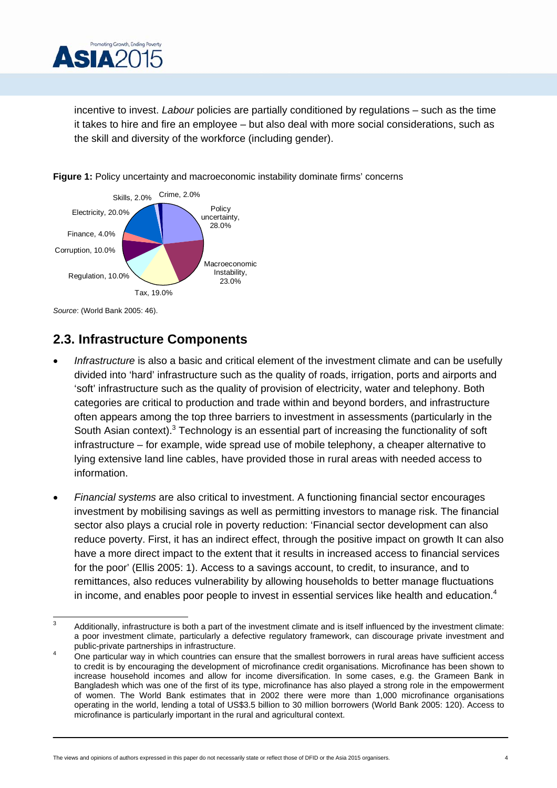

incentive to invest. *Labour* policies are partially conditioned by regulations – such as the time it takes to hire and fire an employee – but also deal with more social considerations, such as the skill and diversity of the workforce (including gender).



**Figure 1:** Policy uncertainty and macroeconomic instability dominate firms' concerns

### **2.3. Infrastructure Components**

- *Infrastructure* is also a basic and critical element of the investment climate and can be usefully divided into 'hard' infrastructure such as the quality of roads, irrigation, ports and airports and 'soft' infrastructure such as the quality of provision of electricity, water and telephony. Both categories are critical to production and trade within and beyond borders, and infrastructure often appears among the top three barriers to investment in assessments (particularly in the South Asian context).<sup>3</sup> Technology is an essential part of increasing the functionality of soft infrastructure – for example, wide spread use of mobile telephony, a cheaper alternative to lying extensive land line cables, have provided those in rural areas with needed access to information.
- *Financial systems* are also critical to investment. A functioning financial sector encourages investment by mobilising savings as well as permitting investors to manage risk. The financial sector also plays a crucial role in poverty reduction: 'Financial sector development can also reduce poverty. First, it has an indirect effect, through the positive impact on growth It can also have a more direct impact to the extent that it results in increased access to financial services for the poor' (Ellis 2005: 1). Access to a savings account, to credit, to insurance, and to remittances, also reduces vulnerability by allowing households to better manage fluctuations in income, and enables poor people to invest in essential services like health and education.<sup>4</sup>

<sup>-&</sup>lt;br>3 Additionally, infrastructure is both a part of the investment climate and is itself influenced by the investment climate: a poor investment climate, particularly a defective regulatory framework, can discourage private investment and public-private partnerships in infrastructure. 4

One particular way in which countries can ensure that the smallest borrowers in rural areas have sufficient access to credit is by encouraging the development of microfinance credit organisations. Microfinance has been shown to increase household incomes and allow for income diversification. In some cases, e.g. the Grameen Bank in Bangladesh which was one of the first of its type, microfinance has also played a strong role in the empowerment of women. The World Bank estimates that in 2002 there were more than 1,000 microfinance organisations operating in the world, lending a total of US\$3.5 billion to 30 million borrowers (World Bank 2005: 120). Access to microfinance is particularly important in the rural and agricultural context.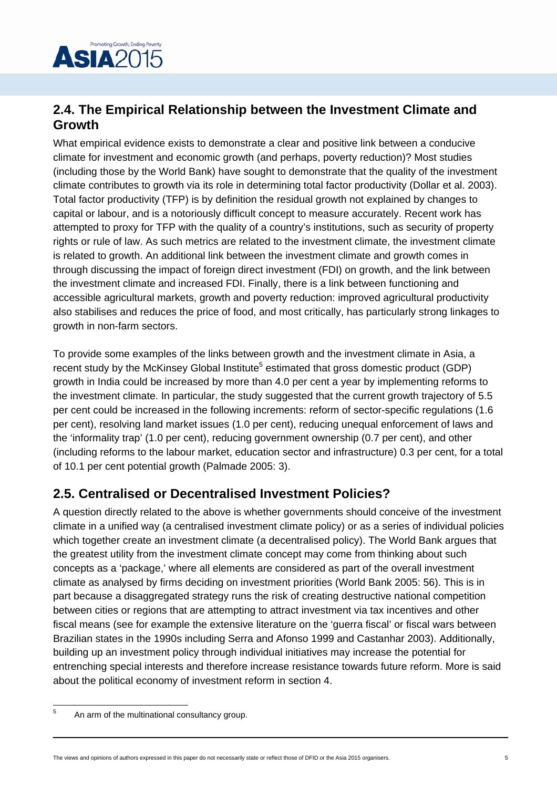

# **2.4. The Empirical Relationship between the Investment Climate and Growth**

What empirical evidence exists to demonstrate a clear and positive link between a conducive climate for investment and economic growth (and perhaps, poverty reduction)? Most studies (including those by the World Bank) have sought to demonstrate that the quality of the investment climate contributes to growth via its role in determining total factor productivity (Dollar et al. 2003). Total factor productivity (TFP) is by definition the residual growth not explained by changes to capital or labour, and is a notoriously difficult concept to measure accurately. Recent work has attempted to proxy for TFP with the quality of a country's institutions, such as security of property rights or rule of law. As such metrics are related to the investment climate, the investment climate is related to growth. An additional link between the investment climate and growth comes in through discussing the impact of foreign direct investment (FDI) on growth, and the link between the investment climate and increased FDI. Finally, there is a link between functioning and accessible agricultural markets, growth and poverty reduction: improved agricultural productivity also stabilises and reduces the price of food, and most critically, has particularly strong linkages to growth in non-farm sectors.

To provide some examples of the links between growth and the investment climate in Asia, a recent study by the McKinsey Global Institute<sup>5</sup> estimated that gross domestic product (GDP) growth in India could be increased by more than 4.0 per cent a year by implementing reforms to the investment climate. In particular, the study suggested that the current growth trajectory of 5.5 per cent could be increased in the following increments: reform of sector-specific regulations (1.6 per cent), resolving land market issues (1.0 per cent), reducing unequal enforcement of laws and the 'informality trap' (1.0 per cent), reducing government ownership (0.7 per cent), and other (including reforms to the labour market, education sector and infrastructure) 0.3 per cent, for a total of 10.1 per cent potential growth (Palmade 2005: 3).

# **2.5. Centralised or Decentralised Investment Policies?**

A question directly related to the above is whether governments should conceive of the investment climate in a unified way (a centralised investment climate policy) or as a series of individual policies which together create an investment climate (a decentralised policy). The World Bank argues that the greatest utility from the investment climate concept may come from thinking about such concepts as a 'package,' where all elements are considered as part of the overall investment climate as analysed by firms deciding on investment priorities (World Bank 2005: 56). This is in part because a disaggregated strategy runs the risk of creating destructive national competition between cities or regions that are attempting to attract investment via tax incentives and other fiscal means (see for example the extensive literature on the 'guerra fiscal' or fiscal wars between Brazilian states in the 1990s including Serra and Afonso 1999 and Castanhar 2003). Additionally, building up an investment policy through individual initiatives may increase the potential for entrenching special interests and therefore increase resistance towards future reform. More is said about the political economy of investment reform in section 4.

The views and opinions of authors expressed in this paper do not necessarily state or reflect those of DFID or the Asia 2015 organisers. 5

<sup>—&</sup>lt;br>5 An arm of the multinational consultancy group.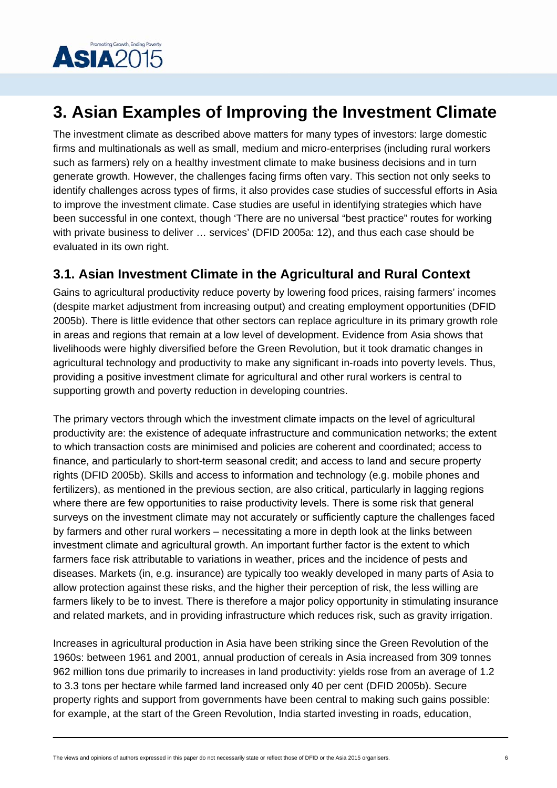

# **3. Asian Examples of Improving the Investment Climate**

The investment climate as described above matters for many types of investors: large domestic firms and multinationals as well as small, medium and micro-enterprises (including rural workers such as farmers) rely on a healthy investment climate to make business decisions and in turn generate growth. However, the challenges facing firms often vary. This section not only seeks to identify challenges across types of firms, it also provides case studies of successful efforts in Asia to improve the investment climate. Case studies are useful in identifying strategies which have been successful in one context, though 'There are no universal "best practice" routes for working with private business to deliver … services' (DFID 2005a: 12), and thus each case should be evaluated in its own right.

# **3.1. Asian Investment Climate in the Agricultural and Rural Context**

Gains to agricultural productivity reduce poverty by lowering food prices, raising farmers' incomes (despite market adjustment from increasing output) and creating employment opportunities (DFID 2005b). There is little evidence that other sectors can replace agriculture in its primary growth role in areas and regions that remain at a low level of development. Evidence from Asia shows that livelihoods were highly diversified before the Green Revolution, but it took dramatic changes in agricultural technology and productivity to make any significant in-roads into poverty levels. Thus, providing a positive investment climate for agricultural and other rural workers is central to supporting growth and poverty reduction in developing countries.

The primary vectors through which the investment climate impacts on the level of agricultural productivity are: the existence of adequate infrastructure and communication networks; the extent to which transaction costs are minimised and policies are coherent and coordinated; access to finance, and particularly to short-term seasonal credit; and access to land and secure property rights (DFID 2005b). Skills and access to information and technology (e.g. mobile phones and fertilizers), as mentioned in the previous section, are also critical, particularly in lagging regions where there are few opportunities to raise productivity levels. There is some risk that general surveys on the investment climate may not accurately or sufficiently capture the challenges faced by farmers and other rural workers – necessitating a more in depth look at the links between investment climate and agricultural growth. An important further factor is the extent to which farmers face risk attributable to variations in weather, prices and the incidence of pests and diseases. Markets (in, e.g. insurance) are typically too weakly developed in many parts of Asia to allow protection against these risks, and the higher their perception of risk, the less willing are farmers likely to be to invest. There is therefore a major policy opportunity in stimulating insurance and related markets, and in providing infrastructure which reduces risk, such as gravity irrigation.

Increases in agricultural production in Asia have been striking since the Green Revolution of the 1960s: between 1961 and 2001, annual production of cereals in Asia increased from 309 tonnes 962 million tons due primarily to increases in land productivity: yields rose from an average of 1.2 to 3.3 tons per hectare while farmed land increased only 40 per cent (DFID 2005b). Secure property rights and support from governments have been central to making such gains possible: for example, at the start of the Green Revolution, India started investing in roads, education,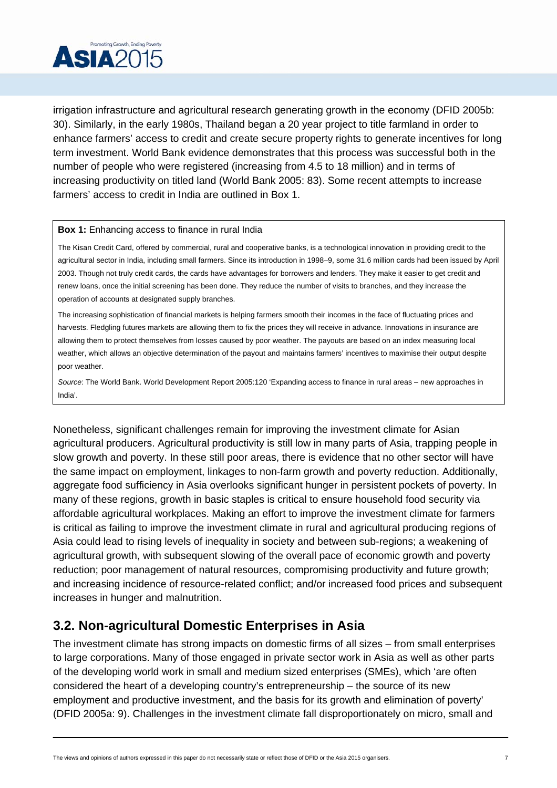

irrigation infrastructure and agricultural research generating growth in the economy (DFID 2005b: 30). Similarly, in the early 1980s, Thailand began a 20 year project to title farmland in order to enhance farmers' access to credit and create secure property rights to generate incentives for long term investment. World Bank evidence demonstrates that this process was successful both in the number of people who were registered (increasing from 4.5 to 18 million) and in terms of increasing productivity on titled land (World Bank 2005: 83). Some recent attempts to increase farmers' access to credit in India are outlined in Box 1.

#### **Box 1:** Enhancing access to finance in rural India

The Kisan Credit Card, offered by commercial, rural and cooperative banks, is a technological innovation in providing credit to the agricultural sector in India, including small farmers. Since its introduction in 1998–9, some 31.6 million cards had been issued by April 2003. Though not truly credit cards, the cards have advantages for borrowers and lenders. They make it easier to get credit and renew loans, once the initial screening has been done. They reduce the number of visits to branches, and they increase the operation of accounts at designated supply branches.

The increasing sophistication of financial markets is helping farmers smooth their incomes in the face of fluctuating prices and harvests. Fledgling futures markets are allowing them to fix the prices they will receive in advance. Innovations in insurance are allowing them to protect themselves from losses caused by poor weather. The payouts are based on an index measuring local weather, which allows an objective determination of the payout and maintains farmers' incentives to maximise their output despite poor weather.

*Source*: The World Bank. World Development Report 2005:120 'Expanding access to finance in rural areas – new approaches in India'.

Nonetheless, significant challenges remain for improving the investment climate for Asian agricultural producers. Agricultural productivity is still low in many parts of Asia, trapping people in slow growth and poverty. In these still poor areas, there is evidence that no other sector will have the same impact on employment, linkages to non-farm growth and poverty reduction. Additionally, aggregate food sufficiency in Asia overlooks significant hunger in persistent pockets of poverty. In many of these regions, growth in basic staples is critical to ensure household food security via affordable agricultural workplaces. Making an effort to improve the investment climate for farmers is critical as failing to improve the investment climate in rural and agricultural producing regions of Asia could lead to rising levels of inequality in society and between sub-regions; a weakening of agricultural growth, with subsequent slowing of the overall pace of economic growth and poverty reduction; poor management of natural resources, compromising productivity and future growth; and increasing incidence of resource-related conflict; and/or increased food prices and subsequent increases in hunger and malnutrition.

### **3.2. Non-agricultural Domestic Enterprises in Asia**

The investment climate has strong impacts on domestic firms of all sizes – from small enterprises to large corporations. Many of those engaged in private sector work in Asia as well as other parts of the developing world work in small and medium sized enterprises (SMEs), which 'are often considered the heart of a developing country's entrepreneurship – the source of its new employment and productive investment, and the basis for its growth and elimination of poverty' (DFID 2005a: 9). Challenges in the investment climate fall disproportionately on micro, small and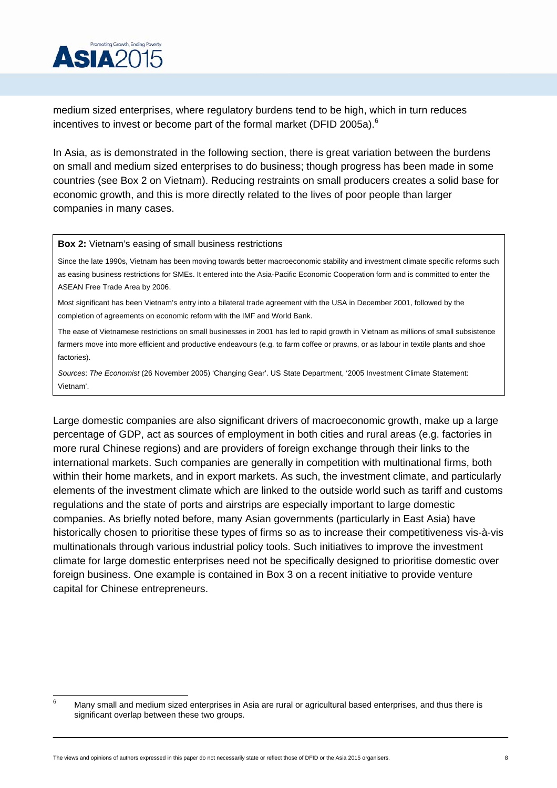

medium sized enterprises, where regulatory burdens tend to be high, which in turn reduces incentives to invest or become part of the formal market (DFID 2005a).<sup>6</sup>

In Asia, as is demonstrated in the following section, there is great variation between the burdens on small and medium sized enterprises to do business; though progress has been made in some countries (see Box 2 on Vietnam). Reducing restraints on small producers creates a solid base for economic growth, and this is more directly related to the lives of poor people than larger companies in many cases.

**Box 2:** Vietnam's easing of small business restrictions

Since the late 1990s, Vietnam has been moving towards better macroeconomic stability and investment climate specific reforms such as easing business restrictions for SMEs. It entered into the Asia-Pacific Economic Cooperation form and is committed to enter the ASEAN Free Trade Area by 2006.

Most significant has been Vietnam's entry into a bilateral trade agreement with the USA in December 2001, followed by the completion of agreements on economic reform with the IMF and World Bank.

The ease of Vietnamese restrictions on small businesses in 2001 has led to rapid growth in Vietnam as millions of small subsistence farmers move into more efficient and productive endeavours (e.g. to farm coffee or prawns, or as labour in textile plants and shoe factories).

*Sources*: *The Economist* (26 November 2005) 'Changing Gear'. US State Department, '2005 Investment Climate Statement: Vietnam'.

Large domestic companies are also significant drivers of macroeconomic growth, make up a large percentage of GDP, act as sources of employment in both cities and rural areas (e.g. factories in more rural Chinese regions) and are providers of foreign exchange through their links to the international markets. Such companies are generally in competition with multinational firms, both within their home markets, and in export markets. As such, the investment climate, and particularly elements of the investment climate which are linked to the outside world such as tariff and customs regulations and the state of ports and airstrips are especially important to large domestic companies. As briefly noted before, many Asian governments (particularly in East Asia) have historically chosen to prioritise these types of firms so as to increase their competitiveness vis-à-vis multinationals through various industrial policy tools. Such initiatives to improve the investment climate for large domestic enterprises need not be specifically designed to prioritise domestic over foreign business. One example is contained in Box 3 on a recent initiative to provide venture capital for Chinese entrepreneurs.

The views and opinions of authors expressed in this paper do not necessarily state or reflect those of DFID or the Asia 2015 organisers. 8

<sup>—&</sup>lt;br>6 Many small and medium sized enterprises in Asia are rural or agricultural based enterprises, and thus there is significant overlap between these two groups.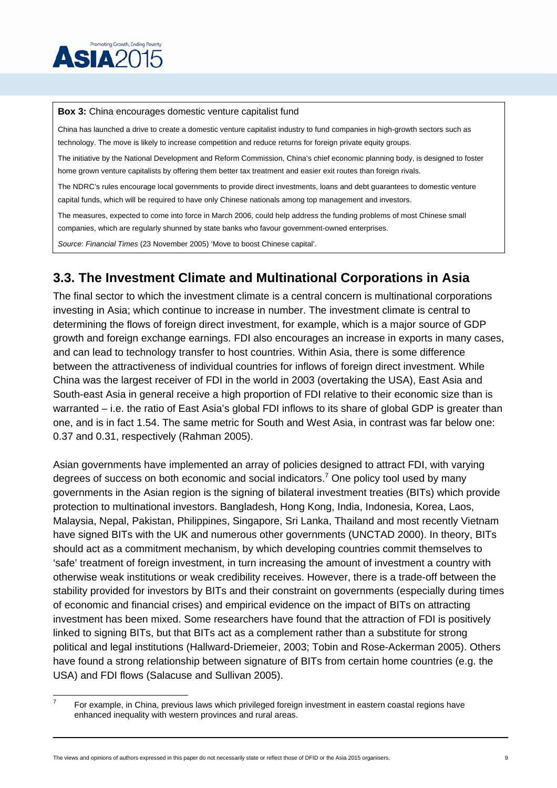

#### **Box 3:** China encourages domestic venture capitalist fund

China has launched a drive to create a domestic venture capitalist industry to fund companies in high-growth sectors such as technology. The move is likely to increase competition and reduce returns for foreign private equity groups.

The initiative by the National Development and Reform Commission, China's chief economic planning body, is designed to foster home grown venture capitalists by offering them better tax treatment and easier exit routes than foreign rivals.

The NDRC's rules encourage local governments to provide direct investments, loans and debt guarantees to domestic venture capital funds, which will be required to have only Chinese nationals among top management and investors.

The measures, expected to come into force in March 2006, could help address the funding problems of most Chinese small companies, which are regularly shunned by state banks who favour government-owned enterprises.

*Source*: *Financial Times* (23 November 2005) 'Move to boost Chinese capital'.

### **3.3. The Investment Climate and Multinational Corporations in Asia**

The final sector to which the investment climate is a central concern is multinational corporations investing in Asia; which continue to increase in number. The investment climate is central to determining the flows of foreign direct investment, for example, which is a major source of GDP growth and foreign exchange earnings. FDI also encourages an increase in exports in many cases, and can lead to technology transfer to host countries. Within Asia, there is some difference between the attractiveness of individual countries for inflows of foreign direct investment. While China was the largest receiver of FDI in the world in 2003 (overtaking the USA), East Asia and South-east Asia in general receive a high proportion of FDI relative to their economic size than is warranted – i.e. the ratio of East Asia's global FDI inflows to its share of global GDP is greater than one, and is in fact 1.54. The same metric for South and West Asia, in contrast was far below one: 0.37 and 0.31, respectively (Rahman 2005).

Asian governments have implemented an array of policies designed to attract FDI, with varying degrees of success on both economic and social indicators.<sup>7</sup> One policy tool used by many governments in the Asian region is the signing of bilateral investment treaties (BITs) which provide protection to multinational investors. Bangladesh, Hong Kong, India, Indonesia, Korea, Laos, Malaysia, Nepal, Pakistan, Philippines, Singapore, Sri Lanka, Thailand and most recently Vietnam have signed BITs with the UK and numerous other governments (UNCTAD 2000). In theory, BITs should act as a commitment mechanism, by which developing countries commit themselves to 'safe' treatment of foreign investment, in turn increasing the amount of investment a country with otherwise weak institutions or weak credibility receives. However, there is a trade-off between the stability provided for investors by BITs and their constraint on governments (especially during times of economic and financial crises) and empirical evidence on the impact of BITs on attracting investment has been mixed. Some researchers have found that the attraction of FDI is positively linked to signing BITs, but that BITs act as a complement rather than a substitute for strong political and legal institutions (Hallward-Driemeier, 2003; Tobin and Rose-Ackerman 2005). Others have found a strong relationship between signature of BITs from certain home countries (e.g. the USA) and FDI flows (Salacuse and Sullivan 2005).

The views and opinions of authors expressed in this paper do not necessarily state or reflect those of DFID or the Asia 2015 organisers. 9

<sup>-&</sup>lt;br>7 For example, in China, previous laws which privileged foreign investment in eastern coastal regions have enhanced inequality with western provinces and rural areas.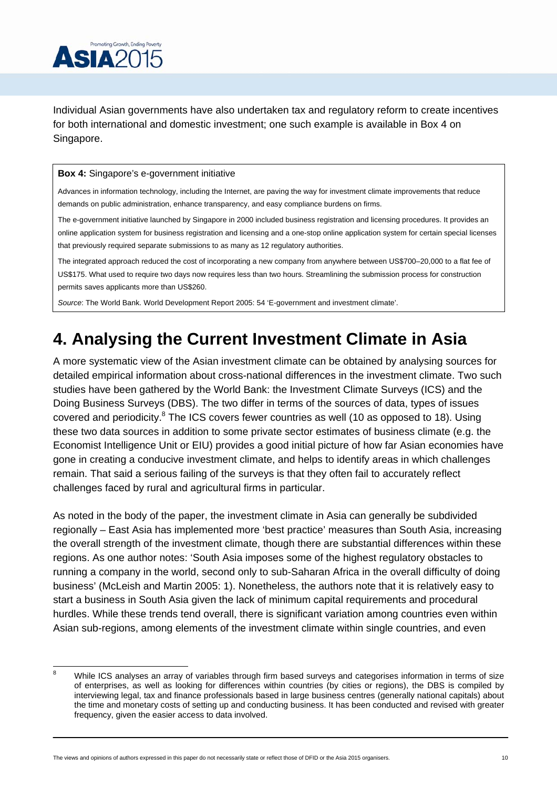

Individual Asian governments have also undertaken tax and regulatory reform to create incentives for both international and domestic investment; one such example is available in Box 4 on Singapore.

#### **Box 4:** Singapore's e-government initiative

Advances in information technology, including the Internet, are paving the way for investment climate improvements that reduce demands on public administration, enhance transparency, and easy compliance burdens on firms.

The e-government initiative launched by Singapore in 2000 included business registration and licensing procedures. It provides an online application system for business registration and licensing and a one-stop online application system for certain special licenses that previously required separate submissions to as many as 12 regulatory authorities.

The integrated approach reduced the cost of incorporating a new company from anywhere between US\$700–20,000 to a flat fee of US\$175. What used to require two days now requires less than two hours. Streamlining the submission process for construction permits saves applicants more than US\$260.

*Source*: The World Bank. World Development Report 2005: 54 'E-government and investment climate'.

# **4. Analysing the Current Investment Climate in Asia**

A more systematic view of the Asian investment climate can be obtained by analysing sources for detailed empirical information about cross-national differences in the investment climate. Two such studies have been gathered by the World Bank: the Investment Climate Surveys (ICS) and the Doing Business Surveys (DBS). The two differ in terms of the sources of data, types of issues covered and periodicity.<sup>8</sup> The ICS covers fewer countries as well (10 as opposed to 18). Using these two data sources in addition to some private sector estimates of business climate (e.g. the Economist Intelligence Unit or EIU) provides a good initial picture of how far Asian economies have gone in creating a conducive investment climate, and helps to identify areas in which challenges remain. That said a serious failing of the surveys is that they often fail to accurately reflect challenges faced by rural and agricultural firms in particular.

As noted in the body of the paper, the investment climate in Asia can generally be subdivided regionally – East Asia has implemented more 'best practice' measures than South Asia, increasing the overall strength of the investment climate, though there are substantial differences within these regions. As one author notes: 'South Asia imposes some of the highest regulatory obstacles to running a company in the world, second only to sub-Saharan Africa in the overall difficulty of doing business' (McLeish and Martin 2005: 1). Nonetheless, the authors note that it is relatively easy to start a business in South Asia given the lack of minimum capital requirements and procedural hurdles. While these trends tend overall, there is significant variation among countries even within Asian sub-regions, among elements of the investment climate within single countries, and even

<sup>-&</sup>lt;br>8 While ICS analyses an array of variables through firm based surveys and categorises information in terms of size of enterprises, as well as looking for differences within countries (by cities or regions), the DBS is compiled by interviewing legal, tax and finance professionals based in large business centres (generally national capitals) about the time and monetary costs of setting up and conducting business. It has been conducted and revised with greater frequency, given the easier access to data involved.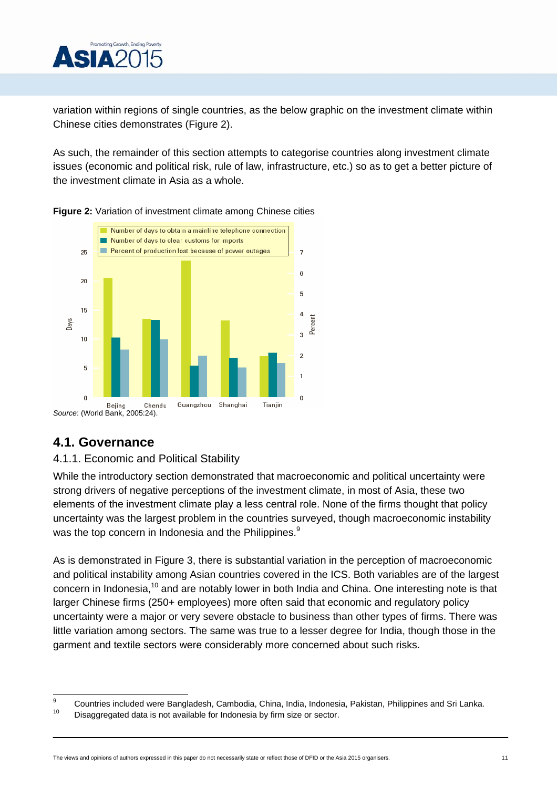

variation within regions of single countries, as the below graphic on the investment climate within Chinese cities demonstrates (Figure 2).

As such, the remainder of this section attempts to categorise countries along investment climate issues (economic and political risk, rule of law, infrastructure, etc.) so as to get a better picture of the investment climate in Asia as a whole.





# **4.1. Governance**

### 4.1.1. Economic and Political Stability

While the introductory section demonstrated that macroeconomic and political uncertainty were strong drivers of negative perceptions of the investment climate, in most of Asia, these two elements of the investment climate play a less central role. None of the firms thought that policy uncertainty was the largest problem in the countries surveyed, though macroeconomic instability was the top concern in Indonesia and the Philippines.<sup>9</sup>

As is demonstrated in Figure 3, there is substantial variation in the perception of macroeconomic and political instability among Asian countries covered in the ICS. Both variables are of the largest concern in Indonesia,<sup>10</sup> and are notably lower in both India and China. One interesting note is that larger Chinese firms (250+ employees) more often said that economic and regulatory policy uncertainty were a major or very severe obstacle to business than other types of firms. There was little variation among sectors. The same was true to a lesser degree for India, though those in the garment and textile sectors were considerably more concerned about such risks.

<sup>-&</sup>lt;br>9 <sup>9</sup> Countries included were Bangladesh, Cambodia, China, India, Indonesia, Pakistan, Philippines and Sri Lanka.<br><sup>10</sup> Disaggregated data is not available for Indonesia by firm size or sector.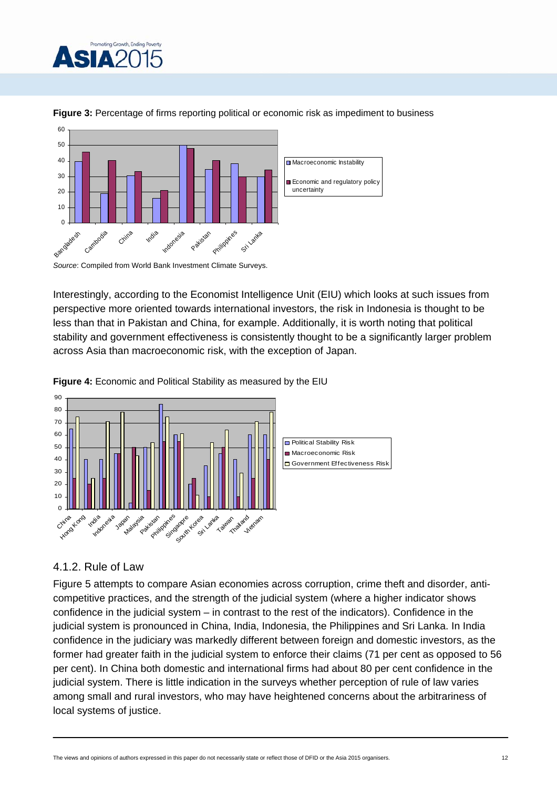



### **Figure 3:** Percentage of firms reporting political or economic risk as impediment to business

*Source*: Compiled from World Bank Investment Climate Surveys.

Interestingly, according to the Economist Intelligence Unit (EIU) which looks at such issues from perspective more oriented towards international investors, the risk in Indonesia is thought to be less than that in Pakistan and China, for example. Additionally, it is worth noting that political stability and government effectiveness is consistently thought to be a significantly larger problem across Asia than macroeconomic risk, with the exception of Japan.



**Figure 4:** Economic and Political Stability as measured by the EIU

### 4.1.2. Rule of Law

Figure 5 attempts to compare Asian economies across corruption, crime theft and disorder, anticompetitive practices, and the strength of the judicial system (where a higher indicator shows confidence in the judicial system – in contrast to the rest of the indicators). Confidence in the judicial system is pronounced in China, India, Indonesia, the Philippines and Sri Lanka. In India confidence in the judiciary was markedly different between foreign and domestic investors, as the former had greater faith in the judicial system to enforce their claims (71 per cent as opposed to 56 per cent). In China both domestic and international firms had about 80 per cent confidence in the judicial system. There is little indication in the surveys whether perception of rule of law varies among small and rural investors, who may have heightened concerns about the arbitrariness of local systems of justice.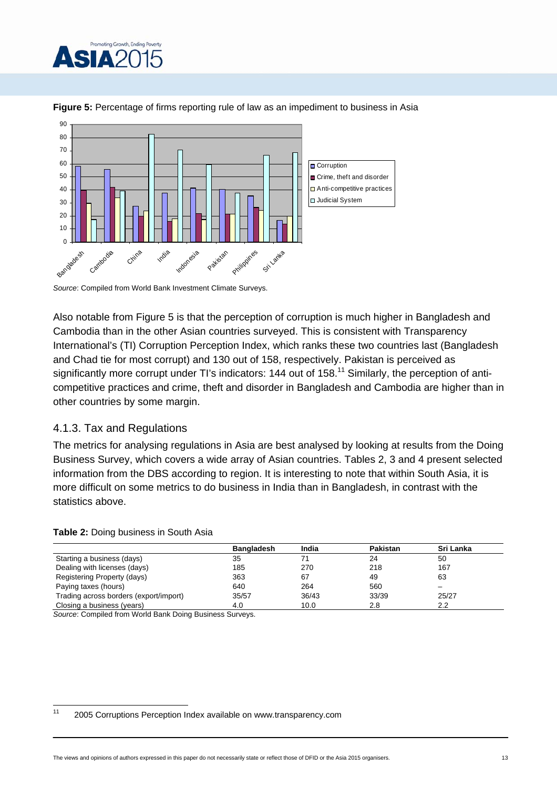



**Figure 5:** Percentage of firms reporting rule of law as an impediment to business in Asia

*Source*: Compiled from World Bank Investment Climate Surveys.

Also notable from Figure 5 is that the perception of corruption is much higher in Bangladesh and Cambodia than in the other Asian countries surveyed. This is consistent with Transparency International's (TI) Corruption Perception Index, which ranks these two countries last (Bangladesh and Chad tie for most corrupt) and 130 out of 158, respectively. Pakistan is perceived as significantly more corrupt under TI's indicators: 144 out of 158.<sup>11</sup> Similarly, the perception of anticompetitive practices and crime, theft and disorder in Bangladesh and Cambodia are higher than in other countries by some margin.

### 4.1.3. Tax and Regulations

The metrics for analysing regulations in Asia are best analysed by looking at results from the Doing Business Survey, which covers a wide array of Asian countries. Tables 2, 3 and 4 present selected information from the DBS according to region. It is interesting to note that within South Asia, it is more difficult on some metrics to do business in India than in Bangladesh, in contrast with the statistics above.

### **Table 2:** Doing business in South Asia

|                                        | <b>Bangladesh</b> | India | <b>Pakistan</b> | Sri Lanka |
|----------------------------------------|-------------------|-------|-----------------|-----------|
| Starting a business (days)             | 35                |       | 24              | 50        |
| Dealing with licenses (days)           | 185               | 270   | 218             | 167       |
| Registering Property (days)            | 363               | 67    | 49              | 63        |
| Paying taxes (hours)                   | 640               | 264   | 560             |           |
| Trading across borders (export/import) | 35/57             | 36/43 | 33/39           | 25/27     |
| Closing a business (years)             | 4.0               | 10.0  | 2.8             | 2.2       |

*Source*: Compiled from World Bank Doing Business Surveys.

 $11$ 11 2005 Corruptions Perception Index available on www.transparency.com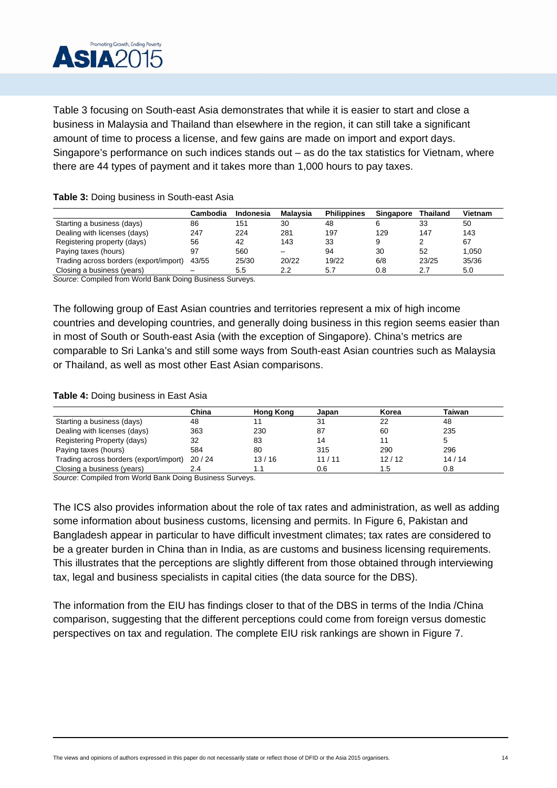

Table 3 focusing on South-east Asia demonstrates that while it is easier to start and close a business in Malaysia and Thailand than elsewhere in the region, it can still take a significant amount of time to process a license, and few gains are made on import and export days. Singapore's performance on such indices stands out – as do the tax statistics for Vietnam, where there are 44 types of payment and it takes more than 1,000 hours to pay taxes.

| Table 3: Doing business in South-east Asia |  |
|--------------------------------------------|--|
|--------------------------------------------|--|

|                                        | Cambodia | <b>Indonesia</b> | <b>Malavsia</b> | <b>Philippines</b> | Singapore | Thailand | Vietnam |
|----------------------------------------|----------|------------------|-----------------|--------------------|-----------|----------|---------|
| Starting a business (days)             | 86       | 151              | 30              | 48                 | 6         | 33       | 50      |
| Dealing with licenses (days)           | 247      | 224              | 281             | 197                | 129       | 147      | 143     |
| Registering property (days)            | 56       | 42               | 143             | 33                 | 9         |          | 67      |
| Paying taxes (hours)                   | 97       | 560              | -               | 94                 | 30        | 52       | ∣.050   |
| Trading across borders (export/import) | 43/55    | 25/30            | 20/22           | 19/22              | 6/8       | 23/25    | 35/36   |
| Closing a business (years)             |          | 5.5              | 2.2             | 5.7                | 0.8       | 2.7      | 5.0     |

*Source*: Compiled from World Bank Doing Business Surveys.

The following group of East Asian countries and territories represent a mix of high income countries and developing countries, and generally doing business in this region seems easier than in most of South or South-east Asia (with the exception of Singapore). China's metrics are comparable to Sri Lanka's and still some ways from South-east Asian countries such as Malaysia or Thailand, as well as most other East Asian comparisons.

### **Table 4:** Doing business in East Asia

|                                        | China | <b>Hong Kong</b> | Japan | Korea | Taiwan |
|----------------------------------------|-------|------------------|-------|-------|--------|
| Starting a business (days)             | 48    |                  | 31    | 22    | 48     |
| Dealing with licenses (days)           | 363   | 230              | 87    | 60    | 235    |
| Registering Property (days)            | 32    | 83               | 14    |       |        |
| Paying taxes (hours)                   | 584   | 80               | 315   | 290   | 296    |
| Trading across borders (export/import) | 20/24 | 13/16            | 11/11 | 12/12 | 14/14  |
| Closing a business (years)             | 2.4   | 1.1              | 0.6   | ∣.5   | 0.8    |

*Source*: Compiled from World Bank Doing Business Surveys.

The ICS also provides information about the role of tax rates and administration, as well as adding some information about business customs, licensing and permits. In Figure 6, Pakistan and Bangladesh appear in particular to have difficult investment climates; tax rates are considered to be a greater burden in China than in India, as are customs and business licensing requirements. This illustrates that the perceptions are slightly different from those obtained through interviewing tax, legal and business specialists in capital cities (the data source for the DBS).

The information from the EIU has findings closer to that of the DBS in terms of the India /China comparison, suggesting that the different perceptions could come from foreign versus domestic perspectives on tax and regulation. The complete EIU risk rankings are shown in Figure 7.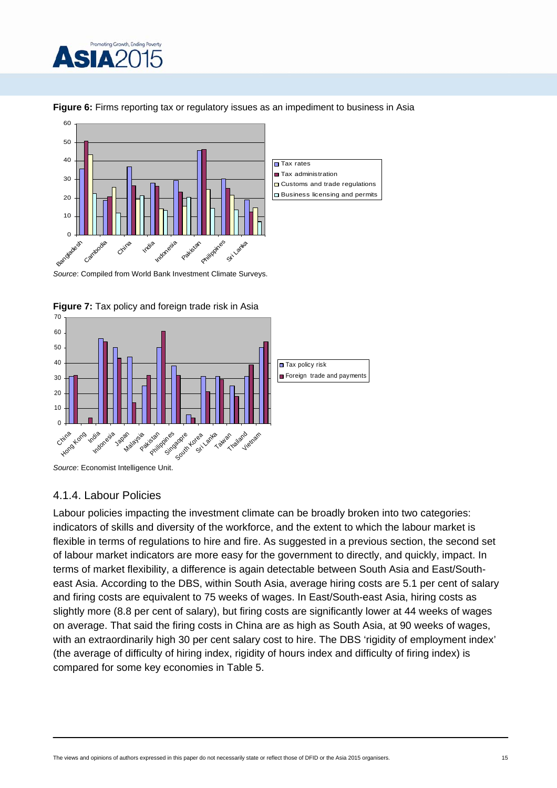



**Figure 6:** Firms reporting tax or regulatory issues as an impediment to business in Asia

*Source*: Compiled from World Bank Investment Climate Surveys.



**Figure 7:** Tax policy and foreign trade risk in Asia

*Source*: Economist Intelligence Unit.

### 4.1.4. Labour Policies

Labour policies impacting the investment climate can be broadly broken into two categories: indicators of skills and diversity of the workforce, and the extent to which the labour market is flexible in terms of regulations to hire and fire. As suggested in a previous section, the second set of labour market indicators are more easy for the government to directly, and quickly, impact. In terms of market flexibility, a difference is again detectable between South Asia and East/Southeast Asia. According to the DBS, within South Asia, average hiring costs are 5.1 per cent of salary and firing costs are equivalent to 75 weeks of wages. In East/South-east Asia, hiring costs as slightly more (8.8 per cent of salary), but firing costs are significantly lower at 44 weeks of wages on average. That said the firing costs in China are as high as South Asia, at 90 weeks of wages, with an extraordinarily high 30 per cent salary cost to hire. The DBS 'rigidity of employment index' (the average of difficulty of hiring index, rigidity of hours index and difficulty of firing index) is compared for some key economies in Table 5.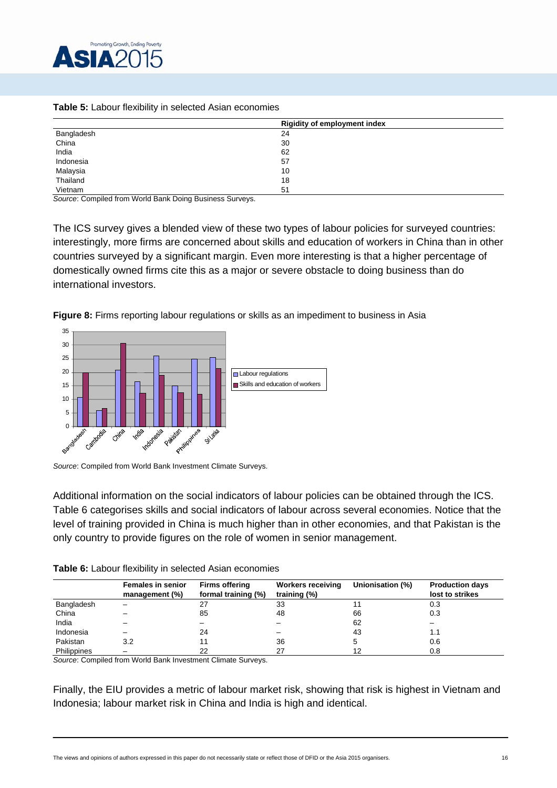

|            | <b>Rigidity of employment index</b> |
|------------|-------------------------------------|
| Bangladesh | 24                                  |
| China      | 30                                  |
| India      | 62                                  |
| Indonesia  | 57                                  |
| Malaysia   | 10                                  |
| Thailand   | 18                                  |
| Vietnam    | 51                                  |

#### **Table 5:** Labour flexibility in selected Asian economies

*Source*: Compiled from World Bank Doing Business Surveys.

The ICS survey gives a blended view of these two types of labour policies for surveyed countries: interestingly, more firms are concerned about skills and education of workers in China than in other countries surveyed by a significant margin. Even more interesting is that a higher percentage of domestically owned firms cite this as a major or severe obstacle to doing business than do international investors.

**Figure 8:** Firms reporting labour regulations or skills as an impediment to business in Asia



*Source*: Compiled from World Bank Investment Climate Surveys.

Additional information on the social indicators of labour policies can be obtained through the ICS. Table 6 categorises skills and social indicators of labour across several economies. Notice that the level of training provided in China is much higher than in other economies, and that Pakistan is the only country to provide figures on the role of women in senior management.

|             | <b>Females in senior</b><br>management (%) | <b>Firms offering</b><br>formal training (%) | <b>Workers receiving</b><br>training (%) | Unionisation (%) | <b>Production days</b><br>lost to strikes |
|-------------|--------------------------------------------|----------------------------------------------|------------------------------------------|------------------|-------------------------------------------|
| Bangladesh  |                                            |                                              | 33                                       |                  | 0.3                                       |
| China       |                                            | 85                                           | 48                                       | 66               | 0.3                                       |
| India       |                                            | $\overline{\phantom{0}}$                     |                                          | 62               |                                           |
| Indonesia   |                                            | 24                                           |                                          | 43               |                                           |
| Pakistan    | 3.2                                        |                                              | 36                                       |                  | 0.6                                       |
| Philippines |                                            | 22                                           | 27                                       | 12               | 0.8                                       |

*Source*: Compiled from World Bank Investment Climate Surveys.

Finally, the EIU provides a metric of labour market risk, showing that risk is highest in Vietnam and Indonesia; labour market risk in China and India is high and identical.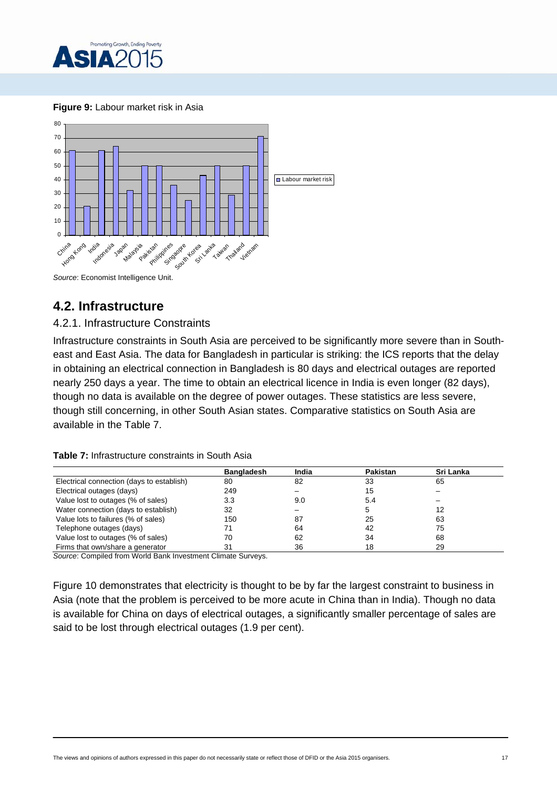

**Figure 9:** Labour market risk in Asia



# **4.2. Infrastructure**

### 4.2.1. Infrastructure Constraints

Infrastructure constraints in South Asia are perceived to be significantly more severe than in Southeast and East Asia. The data for Bangladesh in particular is striking: the ICS reports that the delay in obtaining an electrical connection in Bangladesh is 80 days and electrical outages are reported nearly 250 days a year. The time to obtain an electrical licence in India is even longer (82 days), though no data is available on the degree of power outages. These statistics are less severe, though still concerning, in other South Asian states. Comparative statistics on South Asia are available in the Table 7.

| <b>Table 7:</b> Infrastructure constraints in South Asia |  |  |  |
|----------------------------------------------------------|--|--|--|
|----------------------------------------------------------|--|--|--|

|                                           | <b>Bangladesh</b> | India | <b>Pakistan</b> | Sri Lanka |
|-------------------------------------------|-------------------|-------|-----------------|-----------|
| Electrical connection (days to establish) | 80                | 82    | 33              | 65        |
| Electrical outages (days)                 | 249               |       | 15              |           |
| Value lost to outages (% of sales)        | 3.3               | 9.0   | 5.4             |           |
| Water connection (days to establish)      | 32                |       | 5               | 12        |
| Value lots to failures (% of sales)       | 150               | 87    | 25              | 63        |
| Telephone outages (days)                  |                   | 64    | 42              | 75        |
| Value lost to outages (% of sales)        | 70                | 62    | 34              | 68        |
| Firms that own/share a generator          | 31                | 36    | 18              | 29        |

*Source*: Compiled from World Bank Investment Climate Surveys.

Figure 10 demonstrates that electricity is thought to be by far the largest constraint to business in Asia (note that the problem is perceived to be more acute in China than in India). Though no data is available for China on days of electrical outages, a significantly smaller percentage of sales are said to be lost through electrical outages (1.9 per cent).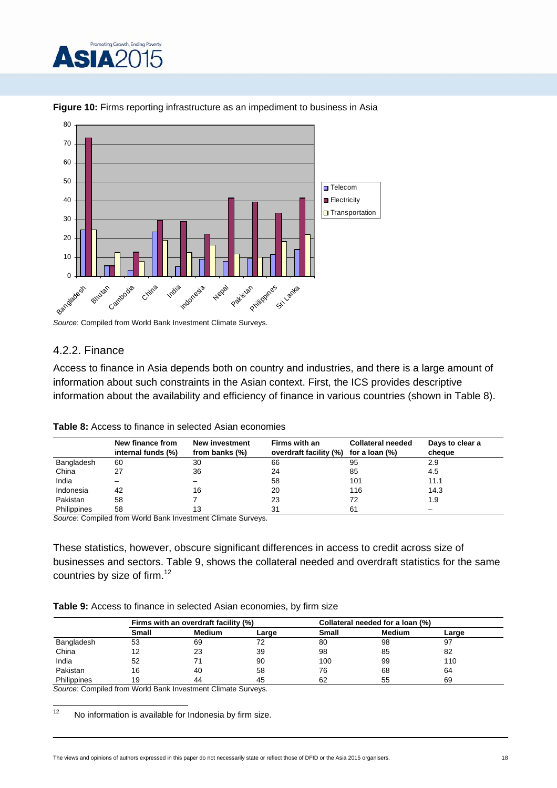



**Figure 10:** Firms reporting infrastructure as an impediment to business in Asia

### 4.2.2. Finance

Access to finance in Asia depends both on country and industries, and there is a large amount of information about such constraints in the Asian context. First, the ICS provides descriptive information about the availability and efficiency of finance in various countries (shown in Table 8).

|             | New finance from<br>internal funds (%) | New investment<br>from banks (%) | Firms with an<br>overdraft facility (%) | <b>Collateral needed</b><br>for a loan $(\%)$ | Days to clear a<br>cheaue |
|-------------|----------------------------------------|----------------------------------|-----------------------------------------|-----------------------------------------------|---------------------------|
| Bangladesh  | 60                                     | 30                               | 66                                      | 95                                            | 2.9                       |
| China       |                                        | 36                               | 24                                      | 85                                            | 4.5                       |
| India       |                                        |                                  | 58                                      | 101                                           | 11.1                      |
| Indonesia   | 42                                     | 16                               | 20                                      | 116                                           | 14.3                      |
| Pakistan    | 58                                     |                                  | 23                                      | 72                                            | 1.9                       |
| Philippines | 58                                     | 13                               | 31                                      | 61                                            |                           |

**Table 8:** Access to finance in selected Asian economies

*Source*: Compiled from World Bank Investment Climate Surveys.

These statistics, however, obscure significant differences in access to credit across size of businesses and sectors. Table 9, shows the collateral needed and overdraft statistics for the same countries by size of firm.<sup>12</sup>

| Table 9: Access to finance in selected Asian economies, by firm size |
|----------------------------------------------------------------------|
|----------------------------------------------------------------------|

|             | Firms with an overdraft facility (%) |               |       | Collateral needed for a loan (%) |               |       |
|-------------|--------------------------------------|---------------|-------|----------------------------------|---------------|-------|
|             | <b>Small</b>                         | <b>Medium</b> | Large | Small                            | <b>Medium</b> | Large |
| Bangladesh  | 53                                   | 69            | 72    | 80                               | 98            | 97    |
| China       |                                      | 23            | 39    | 98                               | 85            | 82    |
| India       | 52                                   |               | 90    | 100                              | 99            | 110   |
| Pakistan    | 16                                   | 40            | 58    | 76                               | 68            | 64    |
| Philippines | 19                                   | 44            | 45    | 62                               | 55            | 69    |

*Source*: Compiled from World Bank Investment Climate Surveys.

 $12$ No information is available for Indonesia by firm size.

*Source*: Compiled from World Bank Investment Climate Surveys.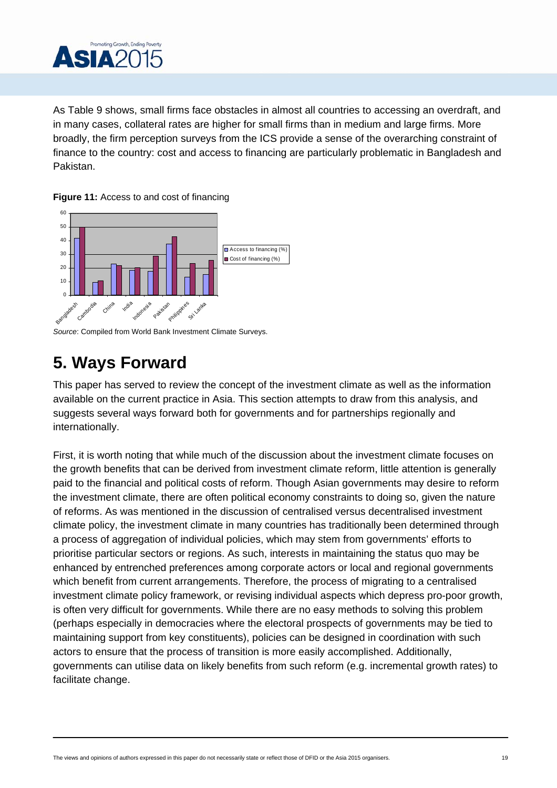

As Table 9 shows, small firms face obstacles in almost all countries to accessing an overdraft, and in many cases, collateral rates are higher for small firms than in medium and large firms. More broadly, the firm perception surveys from the ICS provide a sense of the overarching constraint of finance to the country: cost and access to financing are particularly problematic in Bangladesh and Pakistan.

**Figure 11:** Access to and cost of financing



*Source*: Compiled from World Bank Investment Climate Surveys.

# **5. Ways Forward**

This paper has served to review the concept of the investment climate as well as the information available on the current practice in Asia. This section attempts to draw from this analysis, and suggests several ways forward both for governments and for partnerships regionally and internationally.

First, it is worth noting that while much of the discussion about the investment climate focuses on the growth benefits that can be derived from investment climate reform, little attention is generally paid to the financial and political costs of reform. Though Asian governments may desire to reform the investment climate, there are often political economy constraints to doing so, given the nature of reforms. As was mentioned in the discussion of centralised versus decentralised investment climate policy, the investment climate in many countries has traditionally been determined through a process of aggregation of individual policies, which may stem from governments' efforts to prioritise particular sectors or regions. As such, interests in maintaining the status quo may be enhanced by entrenched preferences among corporate actors or local and regional governments which benefit from current arrangements. Therefore, the process of migrating to a centralised investment climate policy framework, or revising individual aspects which depress pro-poor growth, is often very difficult for governments. While there are no easy methods to solving this problem (perhaps especially in democracies where the electoral prospects of governments may be tied to maintaining support from key constituents), policies can be designed in coordination with such actors to ensure that the process of transition is more easily accomplished. Additionally, governments can utilise data on likely benefits from such reform (e.g. incremental growth rates) to facilitate change.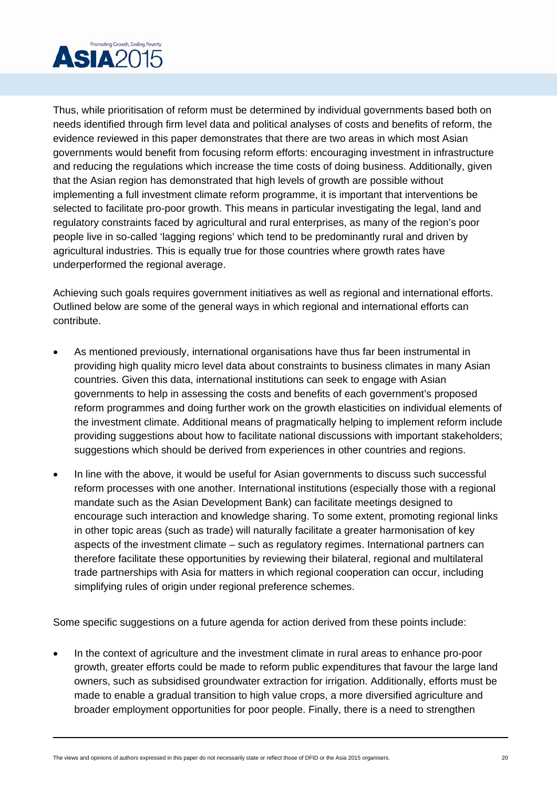

Thus, while prioritisation of reform must be determined by individual governments based both on needs identified through firm level data and political analyses of costs and benefits of reform, the evidence reviewed in this paper demonstrates that there are two areas in which most Asian governments would benefit from focusing reform efforts: encouraging investment in infrastructure and reducing the regulations which increase the time costs of doing business. Additionally, given that the Asian region has demonstrated that high levels of growth are possible without implementing a full investment climate reform programme, it is important that interventions be selected to facilitate pro-poor growth. This means in particular investigating the legal, land and regulatory constraints faced by agricultural and rural enterprises, as many of the region's poor people live in so-called 'lagging regions' which tend to be predominantly rural and driven by agricultural industries. This is equally true for those countries where growth rates have underperformed the regional average.

Achieving such goals requires government initiatives as well as regional and international efforts. Outlined below are some of the general ways in which regional and international efforts can contribute.

- As mentioned previously, international organisations have thus far been instrumental in providing high quality micro level data about constraints to business climates in many Asian countries. Given this data, international institutions can seek to engage with Asian governments to help in assessing the costs and benefits of each government's proposed reform programmes and doing further work on the growth elasticities on individual elements of the investment climate. Additional means of pragmatically helping to implement reform include providing suggestions about how to facilitate national discussions with important stakeholders; suggestions which should be derived from experiences in other countries and regions.
- In line with the above, it would be useful for Asian governments to discuss such successful reform processes with one another. International institutions (especially those with a regional mandate such as the Asian Development Bank) can facilitate meetings designed to encourage such interaction and knowledge sharing. To some extent, promoting regional links in other topic areas (such as trade) will naturally facilitate a greater harmonisation of key aspects of the investment climate – such as regulatory regimes. International partners can therefore facilitate these opportunities by reviewing their bilateral, regional and multilateral trade partnerships with Asia for matters in which regional cooperation can occur, including simplifying rules of origin under regional preference schemes.

Some specific suggestions on a future agenda for action derived from these points include:

• In the context of agriculture and the investment climate in rural areas to enhance pro-poor growth, greater efforts could be made to reform public expenditures that favour the large land owners, such as subsidised groundwater extraction for irrigation. Additionally, efforts must be made to enable a gradual transition to high value crops, a more diversified agriculture and broader employment opportunities for poor people. Finally, there is a need to strengthen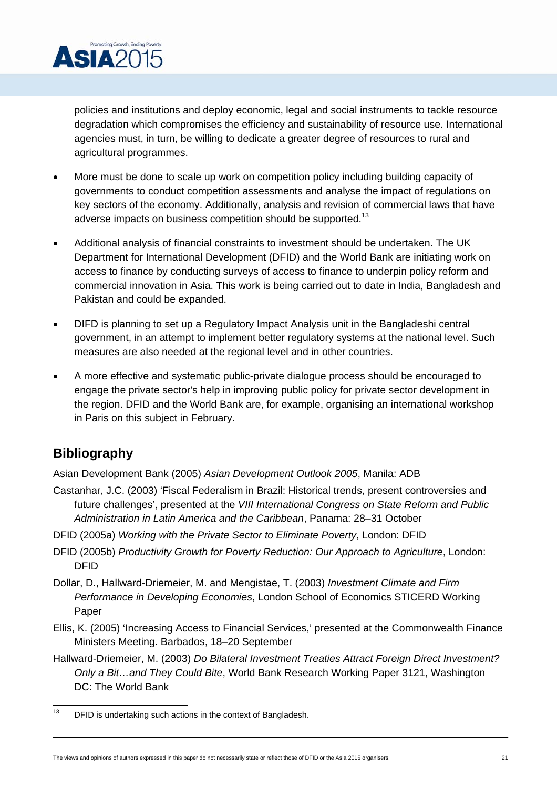

policies and institutions and deploy economic, legal and social instruments to tackle resource degradation which compromises the efficiency and sustainability of resource use. International agencies must, in turn, be willing to dedicate a greater degree of resources to rural and agricultural programmes.

- More must be done to scale up work on competition policy including building capacity of governments to conduct competition assessments and analyse the impact of regulations on key sectors of the economy. Additionally, analysis and revision of commercial laws that have adverse impacts on business competition should be supported.<sup>13</sup>
- Additional analysis of financial constraints to investment should be undertaken. The UK Department for International Development (DFID) and the World Bank are initiating work on access to finance by conducting surveys of access to finance to underpin policy reform and commercial innovation in Asia. This work is being carried out to date in India, Bangladesh and Pakistan and could be expanded.
- DIFD is planning to set up a Regulatory Impact Analysis unit in the Bangladeshi central government, in an attempt to implement better regulatory systems at the national level. Such measures are also needed at the regional level and in other countries.
- A more effective and systematic public-private dialogue process should be encouraged to engage the private sector's help in improving public policy for private sector development in the region. DFID and the World Bank are, for example, organising an international workshop in Paris on this subject in February.

# **Bibliography**

Asian Development Bank (2005) *Asian Development Outlook 2005*, Manila: ADB

- Castanhar, J.C. (2003) 'Fiscal Federalism in Brazil: Historical trends, present controversies and future challenges', presented at the *VIII International Congress on State Reform and Public Administration in Latin America and the Caribbean*, Panama: 28–31 October
- DFID (2005a) *Working with the Private Sector to Eliminate Poverty*, London: DFID
- DFID (2005b) *Productivity Growth for Poverty Reduction: Our Approach to Agriculture*, London: DFID
- Dollar, D., Hallward-Driemeier, M. and Mengistae, T. (2003) *Investment Climate and Firm Performance in Developing Economies*, London School of Economics STICERD Working Paper
- Ellis, K. (2005) 'Increasing Access to Financial Services,' presented at the Commonwealth Finance Ministers Meeting. Barbados, 18–20 September
- Hallward-Driemeier, M. (2003) *Do Bilateral Investment Treaties Attract Foreign Direct Investment? Only a Bit…and They Could Bite*, World Bank Research Working Paper 3121, Washington DC: The World Bank

<sup>13</sup> DFID is undertaking such actions in the context of Bangladesh.

The views and opinions of authors expressed in this paper do not necessarily state or reflect those of DFID or the Asia 2015 organisers. 21